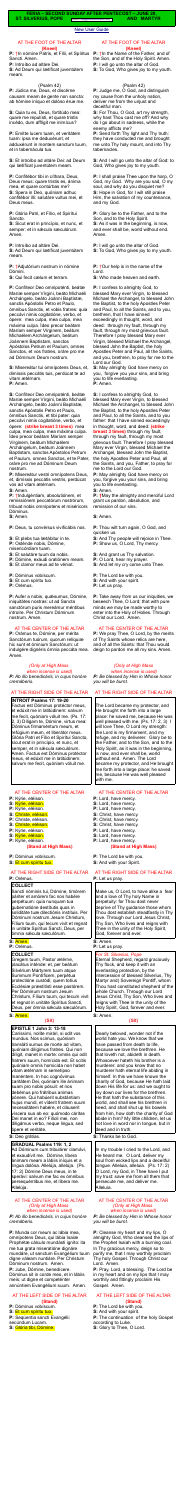#### [New User Guide](http://www.extraordinaryform.org/masses/NewUserGuide.pdf)

**FERIA – SECOND SUNDAY AFTER PENTECOST – JUNE 20, ST. SILVERIUS, POPE** Errors? [help@extraordinaryform.org](mailto:help@extraordinaryform.org) **AND MARTYR** 

#### AT THE FOOT OF THE ALTAR **(Kneel)**

**P:** †In nómine Patris, et Fílii, et Spíritus Sancti. Amen.

**P:** Introíbo ad altáre Dei.

**S:** Ad Deum qui lætíficat juventútem meam.

#### (Psalm 42)

**P:** Júdica me, Deus, et discérne causam meam de gente non sancta: ab hómine iníquo et dolóso érue me.

**S:** Quia tu es, Deus, fortitúdo mea: quare me repulísti, et quare tristis incédo, dum afflígit me inimícus?

**P:** Emítte lucem tuam, et veritátem tuam: ipsa me deduxérunt, et adduxérunt in montem sanctum tuum, et in tabernácula tua.

**S:** Et introíbo ad altáre Dei: ad Deum qui lætíficat juventútem meam.

**P:** Confitébor tibi in cíthara, Deus, Deus meus: quare tristis es, ánima mea, et quare contúrbas me? **S:** Spera in Deo, quóniam adhuc confitébor illi: salutáre vultus mei, et Deus meus.

**P:** Glória Patri, et Fílio, et Spirítui Sancto.

**S:** Sicut erat in princípio, et nunc, et semper: et in sæcula sæculórum. Amen.

**P:** Introíbo ad altáre Dei.

**S:** Ad Deum qui lætíficat juventútem meam.

**P:** †Adjutórium nostrum in nómine Dómini.

**S:** Qui fecit cælum et terram.

**P:** Confíteor Deo omnipoténti, beátæ Maríæ semper Vírgini, beáto Michaéli Archángelo, beáto Joánni Baptístæ, sanctis Apóstolis Petro et Paulo, ómnibus Sanctis, et vobis fratres: quia peccávi nimis cogitatióne, verbo, et ópere: mea culpa, mea culpa, mea máxima culpa. Ídeo precor beátam Maríam semper Vírginem, beátum Michaélem Archángelum, beátum Joánnem Baptístam, sanctos Apóstolos Petrum et Paulum, omnes Sanctos, et vos fratres, oráre pro me ad Dóminum Deum nostrum.

**P:** Aufer a nobis, quésumus, Dómine, iniquitátes nostras: ut ad Sancta sanctórum puris mereámur méntibus introíre. Per Christum Dóminum nostrum. Amen.

**S:** Misereátur tui omnípotens Deus, et, dimíssis peccátis tuis, perdúcat te ad

vitam ætérnam. **P:** Amen.

Sancti nóminis tui, Dómine, timórem páriter et amórem fac nos habére perpétuum: quia nunquam tua gubernatióne destítutis quos in soliditáte tuæ dilectiónis instítuis. Per Dóminum nostrum Jesum Christum, Fílium tuum, qui tecum vivit et regnat in unitáte Spíritus Sancti, Deus, per ómnia sæcula sæculórum.

**S:** Confíteor Deo omnipoténti, beátæ Maríæ semper Vírgini, beáto Michaéli Archángelo, beáto Joánni Baptistæ, sanctis Apóstolis Petro et Paulo, ómnibus Sanctis, et tibi pater: quia peccávi nimis cogitatióne, verbo, et ópere: **(strike breast 3 times)** mea culpa, mea culpa, mea máxima culpa. Ídeo precor beátam Maríam semper Vírginem, beátum Michaélem Archángelum, beátum Joánnem Baptístam, sanctos Apóstolos Petrum et Paulum, omnes Sanctos, et te Pater, oráre pro me ad Dóminum Deum nostrum.

Gregem tuum, Pastor ætérne, placátus inténde: et, per beátum Silvérium Mártyrem tuum atque Summum Pontíficem, perpétua protectióne custódi; quem totíus Ecclésiæ præstitísti esse pastórem. Per Dóminum nostrum Jesum Christum, Fílium tuum, qui tecum vivit et regnat in unitáte Spíritus Sancti, Deus, per ómnia sæcula sæculórum.

**P:** Misereátur vestri omnípotens Deus, et, dimíssis peccátis vestris, perdúcat vos ad vitam ætérnam.

**S:** Amen.

**P:** †Indulgéntiam, absolutiónem, et remissiónem peccatórum nostrórum, tríbuat nobis omnípotens et miséricors Dóminus.

**S:** Amen.

**P:** Deus, tu convérsus vivificábis nos.

- **S:** Et plebs tua lætábitur in te.
- **P:** Osténde nobis, Dómine,

misericórdiam tuam.

- **S:** Et salutáre tuum da nobis.
- **P:** Dómine, exáudi oratiónem meam.
- **S:** Et clamor meus ad te véniat.

**P:** Dóminus vobíscum.

- **S:** Et cum spíritu tuo.
- **P:** Orémus.

# AT THE CENTER OF THE ALTAR

**P:** Orámus te, Dómine, per mérita Sanctórum tuórum, quorum relíquiæ hic sunt et ómnium Sanctórum: ut indulgére dignéris ómnia peccáta mea. Amen.

*(Only at High Mass* 

*when incense is used) P: Ab illo benedicáris, in cujus honóre cremáberis.*

#### AT THE RIGHT SIDE OF THE ALTAR

**P:**  $\dagger$ In the Name of the Father, and of the Son, and of the Holy Spirit. Amen. **P:** I will go unto the altar of God. **S:** To God, Who gives joy to my youth.

**INTROIT Psalms 17: 19-20** Factus est Dóminus protéctor meus, et edúxit me in latitúdinem: salvum me fecit, quóniam vóluit me. (Ps. 17: 2, 3) Díligam te, Dómine, virtus mea: Dóminus firmaméntum meum, et refúgium meum, et liberátor meus. Glória Patri et Fílio et Spirítui Sancto, sicut erat in princípio, et nunc, et semper, et in sæcula sæculórum. Amen. Factus est Dóminus protéctor meus, et edúxit me in latitúdinem: salvum me fecit, quóniam vóluit me.

#### AT THE CENTER OF THE ALTAR

- **P:** Kýrie, eléison.
- **S:** Kýrie, eléison.
- **P:** Kýrie, eléison.
- **S:** Christe, eléison.
- **P:** Christe, eléison. **S:** Christe, eléison.
- **P:** Kýrie, eléison.
- **S:** Kýrie, eléison.
- **P:** Kýrie, eléison.

#### **(Stand at High Mass)**

#### **P:** Dóminus vobíscum.

**S:** Et cum spíritu tuo.

#### AT THE RIGHT SIDE OF THE ALTAR **P:** Orémus.

#### **COLLECT**

#### **S:** Amen.

**P:** Orémus.

#### **COLLECT**

#### **S:** Amen.

#### **(Sit)**

**EPISTLE 1 John 3: 13-18** Caríssimi, nolíte mirári, si odit vos mundus. Nos scimus, quóniam transláti sumus de morte ad vitam, quóniam dilígimus fratres. Qui non díligit, manet in morte: omnis qui odit fratrem suum, homícida est. Et scitis quóniam omnis homicída non habet vitam ætérnam in semetípso manéntem. In hoc cognóvimus caritátem Dei, quóniam ille ánimam suam pro nobis pósuit: et nos debémus pro frátribus animas pónere. Qui habúerit substántiam hujus mundi, et víderit fratrem suum necessitátem habére, et cláuserit víscera sua ab eo: quómodo cáritas Dei manet in eo? Filíoli mei, non diligámus verbo, neque lingua, sed ópere et veritáte.

AT THE RIGHT SIDE OF THE ALTAR **P:** Let us pray.

**S:** Deo grátias.

**GRADUAL Psalms 119: 1, 2** Ad Dóminum cum tribulárer clamávi, et exaudívit me. Dómine, líbera ánimam meam a lábiis iníquis et a lingua dolósa. Allelúja, allelúja. (Ps. 17: 2) Dómine Deus meus, in te sperávi: salvum me fac ex ómnibus persequéntibus me, et líbera me. Allelúja.

#### AT THE CENTER OF THE ALTAR *(Only at High Mass when incense is used)*

*P: Ab illo benedicáris, in cujus honóre cremáberis.*

**P:** Munda cor meum ac lábia mea, omnípotens Deus, qui lábia Isaíæ Prophétæ cálculo mundásti igníto: ita me tua grata miseratióne dignáre mundáre, ut sanctum Evangélium tuum digne váleam nuntiáre. Per Christum Dóminum nostrum. Amen. **P:** Jube, Dómine, benedícere. Dóminus sit in corde meo, et in lábiis meis: ut digne et competénter annúntiem Evangélium suum. Amen.

#### AT THE LEFT SIDE OF THE ALTAR **(Stand)**

**P:** Dóminus vobíscum. **S:** Et cum spíritu tuo. **P:** Seqúentia sancti Evangélii secúndum Lucam. **S:** Glória tibi, Dómine.

#### AT THE FOOT OF THE ALTAR **(Kneel)**

#### (Psalm 42)

**P:** Judge me, O God, and distinguish my cause from the unholy nation, deliver me from the unjust and deceitful man.

**S:** For Thou, O God, art my strength, why hast Thou cast me off? And why do I go about in sadness, while the enemy afflicts me?

**P:** Send forth Thy light and Thy truth: they have conducted me and brought me unto Thy holy mount, and into Thy tabernacles.

**S:** And I will go unto the altar of God: to God, Who gives joy to my youth.

**P:** I shall praise Thee upon the harp, O God, my God. Why are you sad, O my soul, and why do you disquiet me? **S:** Hope in God, for I will still praise Him, the salvation of my countenance, and my God.

**P:** Glory be to the Father, and to the Son, and to the Holy Spirit. **S:** As it was in the beginning, is now, and ever shall be, world without end. Amen.

**P:** I will go unto the altar of God. **S:** To God, Who gives joy to my youth.

**P:** †Our help is in the name of the Lord.

**S:** Who made heaven and earth.

**P:** I confess to almighty God, to blessed Mary ever Virgin, to blessed Michael the Archangel, to blessed John the Baptist, to the holy Apostles Peter and Paul, to all the Saints, and to you, brethren, that I have sinned exceedingly in thought, word, and deed: through my fault, through my fault, through my most grievous fault. Therefore I pray blessed Mary ever Virgin, blessed Michael the Archangel, blessed John the Baptist, the holy Apostles Peter and Paul, all the Saints, and you, brethren, to pray for me to the Lord our God.

**S:** May almighty God have mercy on you, forgive you your sins, and bring you to life everlasting. **P:** Amen.

**S:** I confess to almighty God, to blessed Mary ever Virgin, to blessed Michael the Archangel, to blessed John the Baptist, to the holy Apostles Peter and Paul, to all the Saints, and to you father: that I have sinned exceedingly in thought, word, and deed: **(strike breast 3 times)** through my fault, through my fault, through my most grievous fault. Therefore I pray blessed Mary ever Virgin, blessed Michael the Archangel, blessed John the Baptist, the holy Apostles Peter and Paul, all the Saints, and you, Father, to pray for me to the Lord our God.

**P:** May almighty God have mercy on you, forgive you your sins, and bring you to life everlasting. **S:** Amen.

**P: †**May the almighty and merciful Lord grant us pardon, absolution, and remission of our sins.

**S:** Amen.

**P:** Thou wilt turn again, O God, and quicken us.

- **S:** And Thy people will rejoice in Thee.
- **P:** Show us, O Lord, Thy mercy.
- **S:** And grant us Thy salvation.
- **P:** O Lord, hear my prayer.
- **S:** And let my cry come unto Thee.
- **P:** The Lord be with you.
- **S:** And with your spirit.
- **P:** Let us pray.

**P:** Take away from us our iniquities, we beseech Thee, O Lord; that with pure minds we may be made worthy to enter into the Holy of Holies. Through Christ our Lord. Amen.

#### AT THE CENTER OF THE ALTAR

**P:** We pray Thee, O Lord, by the merits of Thy Saints whose relics are here, and of all the Saints: that Thou would deign to pardon me all my sins. Amen.

# *(Only at High Mass*

 *when incense is used)*

*P: Be blessed by Him in Whose honor you will be burnt.*

# AT THE RIGHT SIDE OF THE ALTAR

The Lord became my protector, and He brought me forth into a large place: he saved me, because He was well pleased with me. (Ps. 17: 2, 3) I will love Thee, O Lord my strength: the Lord is my firmament, and my refuge, and my deliverer. Glory be to the Father, and to the Son, and to the Holy Spirit, as it was in the beginning, is now, and ever shall be, world without end. Amen. The Lord became my protector, and He brought me forth into a large place: he saved me, because He was well pleased with me.

# AT THE CENTER OF THE ALTAR

- **P:** Lord, have mercy.
- **S:** Lord, have mercy.
- **P:** Lord, have mercy.
- **S:** Christ, have mercy.
- **P:** Christ, have mercy.
- **S:** Christ, have mercy.
- **P:** Lord, have mercy.
- **S:** Lord, have mercy. **P:** Lord, have mercy.

# **(Stand at High Mass)**

**P:** The Lord be with you.

**S:** And with your Spirit.

Make us, O Lord, to have alike a fear and a love of Thy holy Name in perpetuity: for Thou dost never deprive of Thy guidance those whom Thou dost establish steadfastly in Thy love. Through our Lord Jesus Christ, Thy Son, Who lives and reigns with Thee in the unity of the Holy Spirit, God, forever and ever.

#### **S: Amen.**

**P:** Let us pray.

*For St. Silverius, Pope*

Eternal Shepherd, regard graciously Thy flock, and keep it with an everlasting protection, by the intercession of blessed Silverius, Thy Martyr and) Sovereign Pontiff, whom Thou hast constituted shepherd of the whole Church. Through our Lord Jesus Christ, Thy Son, Who lives and reigns with Thee in the unity of the Holy Spirit, God, forever and ever.

**S:** Amen.

**(Sit)**

Dearly beloved, wonder not if the world hate you. We know that we have passed from death to life, because we love the brethren. He that loveth not, abideth in death. Whosoever hateth his brother is a murderer: and you know that no murderer hath eternal life abiding in himself. In this we have known the charity of God, because He hath laid down His life for us: and we ought to lay down our lives for the brethren. He that hath the substance of this world, and shall see his brethren in need, and shall shut up his bowels from him, how doth the charity of God abide in him? My little children, let us not love in word nor in tongue, but in deed and in truth.

**S:** Thanks be to God.

In my trouble I cried to the Lord, and He heard me. O Lord, deliver my soul from wicked lips and a deceitful tongue. Alleluia, alleluia. (Ps. 17: 2) O Lord, my God, in Thee have I put my trust: save me from all them that persecute me, and deliver me. Alleluia.

#### AT THE CENTER OF THE ALTAR *(Only at High Mass when incense is used)*

*P: Be blessed by Him in Whose honor you will be burnt.*

**P:** Cleanse my heart and my lips, O almighty God, Who cleansed the lips of the Prophet Isaiah with a burning coal. In Thy gracious mercy, deign so to purify me, that I may worthily proclaim Thy holy Gospel. Through Christ our Lord. Amen.

**P:** Pray, Lord, a blessing. The Lord be in my heart and on my lips that I may worthily and fittingly proclaim His Gospel. Amen.

#### AT THE LEFT SIDE OF THE ALTAR **(Stand)**

**P:** The Lord be with you. **S:** And with your spirit. **P:** The continuation of the holy Gospel according to Luke. **S:** Glory to Thee, O Lord.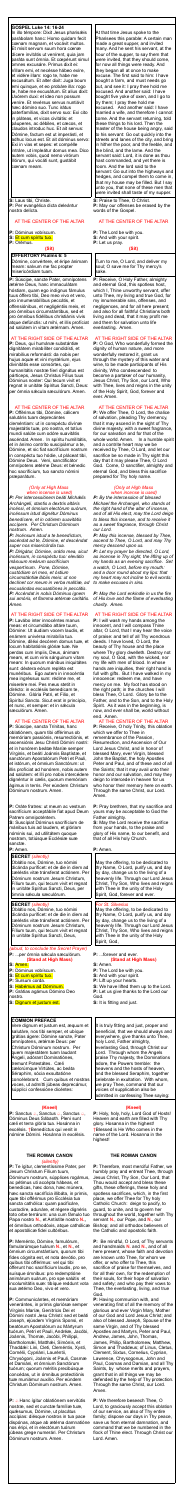#### **GOSPEL Luke 14: 16-24**

In illo témpore: Dixit Jesus phariséis parábolam hanc: Homo quidam fecit cœnam magnam, et vocávit multos. Et misit servum suum hora cœnæ dícere invitátis ut venírent, quia jam paráta sunt ómnia. Et cœpérunt simul omnes excusáre. Primus dixit ei: Villam emi, et necésse hábeo exíre, et vidére illam: rogo te, habe me excusátum. Et alter dixit: Juga boum emi quinque, et eo probáre illa: rogo te, habe me excusátum. Et alius dixit: Uxórem duxi: et ideo non possum veníre. Et revérsus servus nuntiávit hæc dómino suo. Tunc irátus paterfamílias, dixit servo suo: Exi cito in pláteas, et vicos civitátis: et páuperes, ac débiles, et cæcos, et claudos introduc huc. Et ait servus: Dómine, factum est ut imperásti, et adhuc locus est. Et ait dóminus servo: Exi in vias et sepes: et compélle intráre, ut impleátur domus mea. Dico autem vobis, quod nemo virórum illórum, qui vocáti sunt, gustábit cœnam meam.

**S:** Laus tibi, Christe. **P:** Per evangélica dicta deleántur nostra delícta.

# AT THE CENTER OF THE ALTAR

**P:** Dóminus vobíscum.

**S:** Et cum spíritu tuo.

**P:** Orémus.

# **(Sit)**

# **OFFERTORY Psalms 6: 5**

Dómine, convértere, et éripe ánimam meam: salvum me fac propter misericórdiam tuam.

**P:** Súscipe, sancte Pater, omnípotens ætérne Deus, hanc immaculátam hóstiam, quam ego indígnus fámulus tuus óffero tibi, Deo meo vivo et vero, pro innumerabílibus peccátis, et offensiónibus, et negligéntiis meis, et pro ómnibus circumstántibus, sed et pro ómnibus fidélibus christiánis vivis atque defúnctis: ut mihi, et illis profíciat ad salútem in vitam ætérnam. Amen.

#### AT THE RIGHT SIDE OF THE ALTAR

**P:** Deus, qui humánæ substántiæ dignitátem mirabíliter condidísti, et mirabílius reformásti: da nobis per hujus aquæ et vini mystérium, ejus divinitátis esse consórtes, qui humanitátis nostræ fíeri dignátus est párticeps, Jesus Christus Fílius tuus Dóminus noster: Qui tecum vivit et regnat in unitáte Spíritus Sancti, Deus: per ómnia sǽcula sæculórum. Amen.

#### AT THE CENTER OF THE ALTAR

**P:** Offérimus tibi, Dómine, cálicem salutáris tuam deprecántes cleméntiam: ut in conspéctu divínæ majestátis tuæ, pro nostra, et totíus mundi salúte cum odóre suavitátis ascéndat. Amen. In spíritu humilitátis, et in ánimo contríto suscipiámur a te, Dómine, et sic fiat sacrifícium nostrum in conspéctu tuo hódie, ut pláceat tibi, Dómine Deus. Veni, sanctificátor omnípotens ætérne Deus: et bénedic hoc sacrifícium, tuo sancto nómini præparátum.

Oblátio nos, Dómine, tuo nómini dicánda puríficet: et de die in diem ad cæléstis vitæ tránsferat actiónem. Per Dóminum nostrum Jesum Christum, Fílium tuum, qui tecum vivit et regnat in unitáte Spíritus Sancti, Deus, per ómnia sæcula sæculórum.

#### *(Only at High Mass when incense is used)*

*P: Per intercessiónem beáti Michǽlis Archángeli, stantis a dextris altáris incénsi, et ómnium electórum suórum, incénsum istud dignétur Dóminus benedícere, et in odórem suavitátis accípere. Per Christum Dóminum nostrum. Amen.*

*P: Incénsum istud a te benedíctum, ascéndat ad te, Dómine, et descéndat super nos misericórdia tua.*

**P:** Sanctus *a*, Sanctus *a*, Sanctus *a*, Dóminus Deus Sábaoth. Pleni sunt cæli et terra glória tua. Hosánna in excélsis. †Benedíctus qui venit in nómine Dómini. Hosánna in excélsis.

*P: Dirigátur, Dómine, orátio mea, sicut incénsum, in conspéctu tuo: elev*á*tio m*á*nuum me*á*rum sacrifícium vespertínum. Pone, Dómine, custódiam ori meo, et óstium circumstántiæ l*á*biis meis: ut non declínet cor meum in verba malítiæ, ad excusándas excusatiónes in peccátis. P: Accéndat in nobis Dóminus ignem sui amóris, et flamma ætérnæ caritátis. Amen.*

#### AT THE RIGHT SIDE OF THE ALTAR

**P:** Lavábo inter innocéntes manus meas: et circumdábo altáre tuum, Dómine: Ut áudiam vocem laudis, et enárrem univérsa mirabília tua. Dómine, diléxi decórem domus tuæ, et locum habitatiónis glóriæ tuæ. Ne perdas cum ímpiis, Deus, ánimam meam, et cum viris sánguinum vitam meam: In quorum mánibus iniquitátes sunt: déxtera eórum repléta est munéribus. Ego autem in innocéntia mea ingréssus sum: rédime me, et miserére mei. Pes meus stetit in dirécto: in ecclésiis benedícam te, Dómine. Glória Patri, et Filio, et Spirítui Sancto. Sicut erat in princípio, et nunc, et semper: et in sécula sæculórum. Amen.

#### AT THE CENTER OF THE ALTAR

**P:** A Hanc ígitur oblatiónem servitútis nostræ, sed et cunctæ famíliæ tuæ, quǽsumus, Dómine, ut placátus accípias: diésque nostros in tua pace dispónas, atque ab ætérna damnatióne nos éripi, et in electórum tuórum júbeas grege numerári. Per Christum Dóminum nostrum. Amen.

**P:** Súscipe, sancta Trínitas, hanc oblatiónem, quam tibi offérimus ob memóriam passiónis, resurrectiónis, et ascensiónis Jesu Christi Dómini nostri: et in honórem beátæ Maríæ semper Vírginis, et beáti Joánnis Baptístæ, et sanctórum Apostolórum Petri et Pauli, et istórum, et ómnium Sanctórum: ut illis profíciat ad honórem, nobis autem ad salútem: et illi pro nobis intercédere dignéntur in cælis, quorum memóriam ágimus in terris. Per eúndem Christum Dóminum nostrum. Amen.

**P:** Oráte fratres: ut meum ac vestrum sacrifícium acceptábile fiat apud Deum Patrem omnipoténtem.

**S:** Suscípiat Dóminus sacrifícium de mánibus tuis ad laudem, et glóriam nóminis sui, ad utilitátem quoque nostram, totiúsque Ecclésiæ suæ sanctæ. **P:** Amen.

#### **SECRET** *(silently)*

**P:** Receive, O Holy Father, almighty and eternal God, this spotless host, which I, Thine unworthy servant, offer unto Thee, my living and true God, for my innumerable sins, offenses, and negligences, and for all here present; and also for all faithful Christians both living and dead, that it may profit me and them for salvation unto life everlasting. Amen.

#### **SECRET** *(silently)*

Oblátio nos, Dómine, tuo nómini dicánda puríficet: et de die in diem ad cæléstis vitæ tránsferat actiónem. Per Dóminum nostrum Jesum Christum, Fílium tuum, qui tecum vivit et regnat in unitáte Spíritus Sancti, Deus,

*(aloud, to conclude the Secret Prayer)* **P:** ...per ómnia sæcula sæculórum. **(Stand at High Mass)**

#### **S:** Amen.

- **P:** Dóminus vobíscum.
- **S:** Et cum spíritu tuo.
- **P:** Sursum corda.
- **S:** Habémus ad Dóminum.
- **P:** Grátias agámus Dómino Deo
- nostro.
- **S:** Dignum et justum est.

# **COMMON PREFACE**

Vere dignum et justum est, æquum et salutáre, nos tibi semper, et ubíque grátias ágere: Dómine sancte, Pater omnípotens, ætérnæ Deus: per Christum Dóminum nostrum. Per quem majestátem tuam laudant Ángeli, adórant Dominatiónes, tremunt Potestátes. Cæli cælorúmque Virtútes, ac beáta Séraphim, sócia exsultatióne concélebrant. Cum quibus et nostras voces, ut admítti júbeas deprecámur, súpplici confessióne dicéntes:

#### **(Kneel)**

#### **THE ROMAN CANON** *(silently)*

**P:** Pray brethren, that my sacrifice and yours may be acceptable to God the Father almighty.

**P:** Te ígitur, clementíssime Pater, per Jesum Christum Fílium tuum, Dóminum nostrum, súpplices rogámus, ac pétimus uti accépta hábeas, et benedícas, hæc dona, hæc múnera, hæc sancta sacrifícia illibáta, in primis, quæ tibi offérimus pro Ecclésia tua sancta cathólica: quam pacificáre, custodíre, adunáre, et régere dignéris toto orbe terrárum: una cum fámulo tuo Papa nostro **N.**, et Antístite nostro **N.,** et ómnibus orthodóxis, atque cathólicæ et apostólicæ fidei cultóribus.

**P:** Meménto, Dómine, famulórum, famularúmque tuárum **N.**, et **N.**, et ómnium circumstántium, quorum tibi fides cógnita est, et nota devótio, pro quibus tibi offérimus: vel qui tibi ófferunt hoc sacrifícium laudis, pro se, suísque ómnibus: pro redemptióne animárum suárum, pro spe salútis et incolumitátis suæ: tibíque reddunt vota sua ætérno Deo, vivo et vero.

**P:** Communicántes, et memóriam venerántes, in primis gloriósæ semper Vírginis Maríæ, Genitrícis Dei et Dómini nostri Jesu Christi: sed et beáti Joseph, ejúsdem Vírginis Sponsi, et beatórum Apostolórum ac Mártyrum tuórum, Petri et Pauli, Andréæ, Jacóbi, Joánnis, Thomæ, Jacóbi, Philíppi, Bartholomǽi, Matthǽi, Simónis, et Thaddǽi: Lini, Cleti, Cleméntis, Xysti, Cornélii, Cypriáni, Lauréntii, Chrysógoni, Joánnis et Pauli, Cosmæ et Damiáni, et ómnium Sanctórum tuórum; quorum méritis precibúsque concédas, ut in ómnibus protectiónis tuæ muniámur auxílio. Per eúndem Christum Dóminum nostrum. Amen.

At that time Jesus spoke to the Pharisees this parable: A certain man made a great supper, and invited many. And he sent his servant, at the hour of the supper, to say them that were invited, that they should come, for now all things were ready. And they began all at once to make excuse. The first said to him: I have bought a farm, and must needs go out, and see it: I pray thee hold me excused. And another said: I have bought five yoke of oxen, and I go to try them; I pray thee hold me excused. And another said: I have married a wife, and therefore I cannot come. And the servant returning, told these things to his lord. Then the master of the house being angry, said to his servant: Go out quickly into the streets and lanes of the city, and bring in hither the poor, and the feeble, and the blind, and the lame. And the servant said: Lord, it is done as thou hast commanded, and yet there is room. And the lord said to the servant: Go out into the highways and hedges, and compel them to come in, that my house may be filled. But I say unto you, that none of these men that were invited shall taste of my supper.

**S:** Praise to Thee, O Christ. **P:** May our offenses be erased by the words of the Gospel.

#### AT THE CENTER OF THE ALTAR

**P:** The Lord be with you.

- **S:** And with your spirit.
- **P:** Let us pray.

## **(Sit)**

Turn to me, O Lord, and deliver my soul; O save me for Thy mercy's sake.

#### AT THE RIGHT SIDE OF THE ALTAR

**P:** O God, Who wonderfully formed the dignity of human nature, and more wonderfully restored it, grant us through the mystery of this water and wine, to be made participants of His divinity, Who condescended to become a partaker of our humanity, Jesus Christ, Thy Son, our Lord, Who with Thee, lives and reigns in the unity of the Holy Spirit, God, forever and ever. Amen.

#### AT THE CENTER OF THE ALTAR

**P:** We offer Thee, O Lord, the chalice of salvation, pleading Thy clemency, that it may ascend in the sight of Thy divine majesty, with a sweet fragrance, for our salvation and for that of the whole world. Amen. In a humble spirit and a contrite heart may we be received by Thee, O Lord, and let our sacrifice be so made in Thy sight this day that it may please Thee, O Lord God. Come, O sanctifier, almighty and eternal God, and bless this sacrifice prepared for Thy holy name.

### *(Only at High Mass when incense is used)*

*P: By the intercession of blessed Michael the Archangel, who stands at the right hand of the altar of incense, and of all His elect, may the Lord deign to bless this incense, and to receive it as a sweet fragrance, through Christ our Lord.*

*P: May this incense, blessed by Thee, ascend to Thee, O Lord, and may Thy mercy descend upon us.*

*P: Let my prayer be directed, O Lord, as incense in Thy sight, the lifting up of my hands as an evening sacrifice. Set a watch, O Lord, before my mouth: and a door round about my lips: that my heart may not incline to evil words: to make excuses in sins.*

*P: May the Lord enkindle in us the fire of His love and the flame of everlasting charity. Amen.*

#### AT THE RIGHT SIDE OF THE ALTAR

**P:** I will wash my hands among the innocent, and I will compass Thine altar, O Lord, that I may hear the voice of praise: and tell of all Thy wondrous deeds. I have loved, O Lord, the beauty of Thy house and the place where Thy glory dwelleth. Destroy not my soul, O God, with the wicked, nor my life with men of blood. In whose hands are iniquities, their right hand is full with gifts. But I have walked in my innocence: redeem me, and have mercy on me. My foot has stood on the right path; in the churches I will bless Thee, O Lord. Glory be to the Father, and to the Son, and to the Holy Spirit. As it was in the beginning, is now, and ever shall be, world without end. Amen.

#### AT THE CENTER OF THE ALTAR

**P:** Receive, O holy Trinity, this oblation which we offer to Thee in remembrance of the Passion, Resurrection, and Ascension of Our Lord Jesus Christ, and in honor of

blessed Mary, ever Virgin, blessed John the Baptist, the holy Apostles Peter and Paul, and of these and of all the Saints; that it may avail unto their honor and our salvation, and may they deign to intercede in heaven for us who honor their memory here on earth. Through the same Christ, our Lord. Amen.

**S:** May the Lord receive the sacrifice from your hands, to the praise and glory of His name, to our benefit, and that of all His holy Church.

## **P:** Amen.

May the offering, to be dedicated to thy Name, O Lord, purify us, and day by day, change us to the living of a heavenly life. Through our Lord Jesus Christ, Thy Son, Who lives and reigns with Thee in the unity of the Holy Spirit, God, forever and ever.

#### *For St. Silverius*

May the offering, to be dedicated to thy Name, O Lord, purify us, and day by day, change us to the living of a heavenly life. Through our Lord Jesus Christ, Thy Son, Who lives and reigns with Thee in the unity of the Holy Spirit, God,

**P:** ...forever and ever. **(Stand at High Mass)**

#### **S:** Amen.

- **P:** The Lord be with you.
- **S:** And with your spirit.
- **P:** Lift up your hearts.
- **S:** We have lifted them up to the Lord.
- **P:** Let us give thanks to the Lord our God.
- **S:** It is fitting and just.

It is truly fitting and just, proper and beneficial, that we should always and everywhere, give thanks unto Thee, holy Lord, Father almighty, everlasting God, through Christ our Lord. Through whom the Angels praise Thy majesty, the Dominations adore, the Powers tremble: the heavens and the hosts of heaven, and the blessed Seraphim, together celebrate in exultation. With whom, we pray Thee, command that our voices of supplication also be admitted in confessing Thee saying:

#### **(Kneel)**

**P:** Holy, holy, holy, Lord God of Hosts! Heaven and earth are filled with Thy glory. Hosanna in the highest! †Blessed is He Who comes in the name of the Lord. Hosanna in the highest!

#### **THE ROMAN CANON**

**P:** Therefore, most merciful Father, we humbly pray and entreat Thee, through Jesus Christ, Thy Son, Our Lord, that Thou would accept and bless these gifts, these offerings, these holy and spotless sacrifices, which, in the first place, we offer Thee for Thy holy Catholic Church: deign to pacify, to guard, to unite, and to govern her throughout the world, together with Thy servant **N.**, our Pope, and **N.**, our Bishop; and all orthodox believers of the Catholic and apostolic faith.

**P:** Be mindful, O Lord, of Thy servants and handmaids **N.** and **N.**, and of all here present, whose faith and devotion are known unto Thee, for whom we offer, or who offer to Thee, this sacrifice of praise for themselves, and for all their own, for the redemption of their souls, for their hope of salvation and safety; and who pay their vows to Thee, the everlasting, living, and true God.

**P:** Having communion with, and venerating first of all the memory of the glorious and ever Virgin Mary, Mother of our God and Lord Jesus Christ; and also of blessed Joseph, Spouse of the same Virgin, and of Thy blessed Apostles and Martyrs, Peter and Paul, Andrew, James, John, Thomas, James, Philip, Bartholomew, Matthew, Simon and Thaddeus; of Linus, Cletus, Clement, Sixtus, Cornelius, Cyprian, Lawrence, Chrysogonus, John and Paul, Cosmas and Damian, and all Thy Saints, by whose merits and prayers, grant that in all things we may be defended by the help of Thy protection. Through the same Christ, our Lord. Amen.

**P:** We therefore beseech Thee, O Lord, to graciously accept this oblation of our service, as also of Thy entire family; dispose our days in Thy peace, save us from eternal damnation, and command that we be numbered in the flock of Thine elect. Through Christ our Lord. Amen.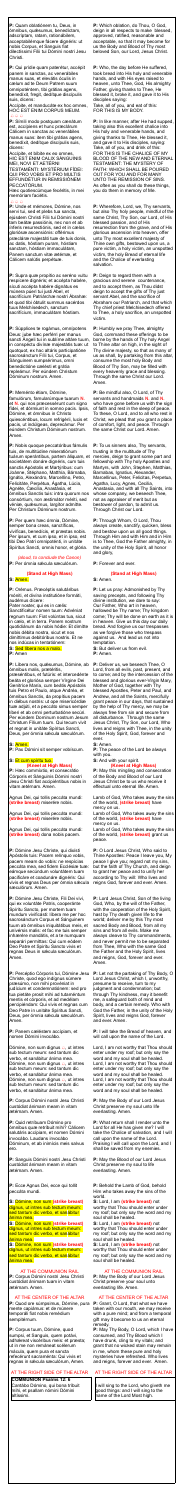**P:** Quam oblatiónem tu, Deus, in ómnibus, quǽsumus, benedíctam, adscríptam, ratam, rationábilem, acceptabilémque fácere dignéris: ut nobis Corpus, et Sanguis fiat dilectíssimi Fílii tui Dómini nostri Jesu Christi.

Accípite, et manducáte ex hoc omnes, HOC EST ENIM CORPUS MEUM.  $\bigoplus \bigoplus \bigoplus$ 

**P:** Qui prídie quam paterétur, accépit panem in sanctas, ac venerábiles manus suas, et elevátis óculis in cælum ad te Deum Patrem suum omnipoténtem, tibi grátias agens, benedíxit, fregit, dedítque discípulis suis, dicens:

**P:** Símili modo postquam cænátum est, accípiens et hunc præclárum Cálicem in sanctas ac venerábiles manus suas: item tibi grátias agens, benedíxit, dedítque discípulis suis, dicens:

Accípite, et bíbite ex eo omnes, HIC EST ENIM CALIX SÁNGUINIS MEI, NOVI ET AETÉRNI

TESTAMÉNTI: MYSTÉRIUM FÍDEI: QUI PRO VOBIS ET PRO MULTIS EFFUNDÉTUR IN REMISSIÓNEM PECCATÓRUM.

Hæc quotiescúmque fecéritis, in mei memóriam faciétis.

#### $A A A$

**P:** Unde et mémores, Dómine, nos servi tui, sed et plebs tua sancta, ejúsdem Christi Fílii tui Dómini nostri tam beátæ passiónis, nec non et ab ínferis resurrectiónis, sed et in cælos gloriósæ ascensiónis: offérimus præcláræ majestáti tuæ de tuis donis, ac datis, hóstiam puram, hóstiam sanctam, hóstiam immaculátam, Panem sanctum vitæ ætérnæ, et Cálicem salútis perpétuæ.

**P:** Supra quæ propítio ac seréno vultu respícere dignéris; et accépta habére, sícuti accépta habére dignátus es múnera púeri tui justi Abel, et sacrifícium Patriárchæ nostri Ábrahæ: et quod tibi óbtulit summus sacérdos tuus Melchísedech, sanctum sacrifícium, immaculátam hóstiam.

*(aloud, to conclude the Canon)* **P:** Per ómnia sæcula sæculórum.

**P:** Líbera nos, quésumus, Dómine, ab ómnibus malis, prætéritis,

præséntibus, et futúris: et intercedénte beáta et gloriósa semper Vírgine Dei Genitríce María, cum beátis Apóstolis tuis Petro et Paulo, atque Andréa, et ómnibus Sanctis, da propítius pacem in diébus nostris: ut ope misericórdiæ tuæ adjúti, et a peccáto simus semper líberi et ab omni perturbatióne secúri. Per eúndem Dominum nostrum Jesum Christum Fílium tuum. Qui tecum vivit et regnat in unitáte Spíritus Sancti, Deus, per ómnia sæcula sæculórum.

**P:** Súpplices te rogámus, omnípotens Deus: jube hæc perférri per manus sancti Ángeli tui in sublíme altáre tuum, in conspéctu divínæ majestátis tuæ: ut quotquot, ex hac altáris participatióne sacrosánctum Fílii tui, Corpus, et Sánguinem sumpsérimus, omni benedictióne cælésti et grátia repleámur. Per eúndem Christum Dóminum nostrum. Amen.

#### **P:** Meménto étiam, Dómine,

famulórum, famularúmque tuarum **N.** et **N.** qui nos præcessérunt cum signo fídei, et dórmiunt in somno pacis. Ipsis, Dómine, et ómnibus in Christo quiescéntibus, locum refrigérii, lucis et pacis, ut indúlgeas, deprecámur. Per eúndem Christum Dóminum nostrum. Amen.

**P:** Nobis quoque peccatóribus fámulis tuis, de multitúdine miseratiónum tuárum sperántibus, partem áliquam, et societátem donáre dignéris, cum tuis sanctis Apóstolis et Martýribus: cum Joánne, Stéphano, Matthía, Bárnaba, Ignátio, Alexándro, Marcellíno, Petro, Felicitáte, Perpétua, Ágatha, Lúcia, Agnéte, Cæcília, Anastásia, et ómnibus Sanctis tuis: intra quorum nos consórtium, non æstimátor mériti, sed véniæ, quæsumus, largítor admítte. Per Christum Dóminum nostrum.

**P:** Per quem hæc ómnia, Dómine, semper bona creas, sanctíficas, vivíficas, benedícis, et præstas nobis. Per ipsum, et cum ipso, et in ipso, est tibi Deo Patri omnipoténti, in unitáte Spíritus Sancti, omnis honor, et glória.

Dómine, non sum dignus  $\triangle$ , ut intres sub tectum meum: sed tantum dic verbo, et sanábitur ánima mea. Dómine, non sum dignus  $\triangle$ , ut intres sub tectum meum: sed tantum dic verbo, et sanábitur ánima mea. Dómine, non sum dignus  $\triangle$ , ut intres sub tectum meum: sed tantum dic verbo, et sanábitur ánima mea.

# **(Stand at High Mass)**

**S:** Amen.

**P:** Orémus. Præcéptis salutáribus móniti, et divína institutióne formáti, audémus dícere:

Pater noster, qui es in cælis: Sanctificétur nomen tuum: Advéniat regnum tuum: Fiat volúntas tua, sicut in cælo, et in terra. Panem nostrum quotidiánum da nobis hódie: Et dimítte nobis débita nostra, sicut et nos dimíttimus debitóribus nostris. Et ne nos indúcas in tentatiónem: **S:** Sed líbera nos a malo.

**P:** Amen

#### **S:** Amen.

**P:** Pax Dómini sit semper vobíscum.

### **S:** Et cum spíritu tuo. **(Kneel at High Mass)**

**P:** Hæc commíxtio, et consecrátio Córporis et Sánguinis Dómini nostri Jesu Christi fiat accipiéntibus nobis in vitam ætérnam. Amen.

Agnus Dei, qui tollis peccáta mundi: **(strike breast)** miserére nobis.

Agnus Dei, qui tollis peccáta mundi: **(strike breast)** miserére nobis.

Agnus Dei, qui tollis peccáta mundi: **(strike breast)** dona nobis pacem.

**P:** Dómine Jesu Christe, qui dixísti Apóstolis tuis: Pacem relínquo vobis, pacem meam do vobis: ne respícias peccáta mea, sed fidem Ecclésiæ tuæ: eámque secúndum voluntátem tuam pacificáre et coadunáre dignéris: Qui vivis et regnas Deus per ómnia sæcula sæculórum. Amen.

**P:** Dómine Jesu Christe, Fili Dei vivi, qui ex voluntáte Patris, cooperánte Spíritu Sancto, per mortem tuam mundum vivificásti: líbera me per hoc sacrosánctum Corpus et Sánguinem tuum ab ómnibus iniquitátibus meis, et univérsis malis: et fac me tuis semper inhærére mandátis, et a te numquam separári permíttas: Qui cum eódem Deo Patre et Spiritu Sancto vivis et regnas Deus in sǽcula sæculórum. Amen.

**P:** Percéptio Córporis tui, Dómine Jesu Christe, quod ego indígnus súmere præsúmo, non mihi provéniat in judícium et condemnatiónem: sed pro tua pietáte prosit mihi ad tutaméntum mentis et córporis, et ad medélam percipiéndam: Qui vivis et regnas cum Deo Patre in unitáte Spíritus Sancti, Deus, per ómnia sæcula sæculórum. Amen.

**P:** Panem cæléstem accípiam, et nomen Dómini invocábo.

**P:** Corpus Dómini nostri Jesu Christi custódiat ánimam meam in vitam ætérnam. Amen.

**P:** Quid retríbuam Dómino pro ómnibus quæ retríbuit mihi? Cálicem salutáris accípiam, et nomen Dómini invocábo. Laudans invocábo Dóminum, et ab inimícis meis salvus ero.

**P:** Sanguis Dómini nostri Jesu Christi custódiat ánimam meam in vitam ætérnam. Amen.

**P:** Ecce Agnus Dei, ecce qui tollit peccáta mundi.

**S:** Dómine, non sum **(strike breast)** dignus, ut intres sub tectum meum: sed tantum dic verbo, et sanábitur ánima mea.

**S:** Dómine, non sum **(strike breast)**  dignus, ut intres sub tectum meum: sed tantum dic verbo, et sanábitur ánima mea.

**S:** Dómine, non sum **(strike breast)**  dignus, ut intres sub tectum meum: sed tantum dic verbo, et sanábitur ánima mea.

#### AT THE COMMUNION RAIL

**P:** Corpus Dómini nostri Jesu Christi custódiat ánimam tuam in vitam ætérnam. Amen.

#### AT THE CENTER OF THE ALTAR

**P:** Quod ore súmpsimus, Dómine, pura mente capiámus: et de múnere temporáli fiat nobis remédium sempitérnum.

**P:** Corpus tuum, Dómine, quod sumpsi, et Sanguis, quem potávi, adhæreat viscéribus meis: et præsta; ut in me non remáneat scélerum mácula, quem pura et sancta refecérunt sacraménta: Qui vivis et regnas in sǽcula sæculórum, Amen.

#### AT THE RIGHT SIDE OF THE ALTAR

#### **COMMUNION Psalms 12: 6**

Cantábo Dómino, qui bona tríbuit mihi, et psallam nómini Dómini altíssimi.

**P:** Which oblation, do Thou, O God, deign in all respects to make blessed, approved, ratified, reasonable and acceptable, so that it may become for us the Body and Blood of Thy most beloved Son, our Lord, Jesus Christ.

**P:** Who, the day before He suffered, took bread into His holy and venerable hands, and with His eyes raised to heaven, unto Thee, God, His almighty Father, giving thanks to Thee, He blessed it, broke it, and gave it to His disciples saying: Take, all of you, and eat of this:

FOR THIS IS MY BODY.

**P:** In like manner, after He had supped, taking also this excellent chalice into His holy and venerable hands, and giving thanks to Thee, He blessed it, and gave it to His disciples, saying: Take, all of you, and drink of this: FOR THIS IS THE CHALICE OF MY BLOOD OF THE NEW AND ETERNAL TESTAMENT: THE MYSTERY OF FAITH: WHICH SHALL BE POURED OUT FOR YOU AND FOR MANY UNTO THE REMISSION OF SINS. As often as you shall do these things, you do them in memory of Me.

**P:** Wherefore, Lord, we, Thy servants, but also Thy holy people, mindful of the same Christ, Thy Son, our Lord, of His blessed passion, and of His resurrection from the grave, and of His glorious ascension into heaven, offer unto Thy most excellent majesty of Thine own gifts, bestowed upon us, a pure victim, a holy victim, an unspotted victim, the holy Bread of eternal life and the Chalice of everlasting salvation.

**P:** Deign to regard them with a gracious and serene countenance, and to accept them, as Thou didst deign to accept the gifts of Thy just servant Abel, and the sacrifice of Abraham our Patriarch, and that which Thy chief priest Melchisedech offered to Thee, a holy sacrifice, an unspotted victim.

**P:** Humbly we pray Thee, almighty God, command these offerings to be borne by the hands of Thy holy Angel to Thine altar on high, in the sight of Thy divine majesty, so that as many of us as shall, by partaking from this altar, consume the most holy Body and Blood of Thy Son, may be filled with every heavenly grace and blessing. Through the same Christ our Lord. Amen.

**P:** Be mindful also, O Lord, of Thy servants and handmaids **N.** and **N.** who have gone before us with the sign of faith and rest in the sleep of peace. To these, O Lord, and to all who rest in Christ, we plead that you grant a place of comfort, light, and peace. Through the same Christ our Lord. Amen.

**P:** To us sinners also, Thy servants, trusting in the multitude of Thy mercies, deign to grant some part and fellowship with Thy holy Apostles and Martyrs, with John, Stephen, Matthias, Barnabas, Ignatius, Alexander, Marcellinus, Peter, Felicitas, Perpetua, Agatha, Lucy, Agnes, Cecilia, Anastasia, and with all Thy Saints, into whose company, we beseech Thee, not as appraiser of merit but as bestower of pardon, to admit us. Through Christ our Lord.

**P:** Through Whom, O Lord, Thou always create, sanctify, quicken, bless and bestow upon us all good things. Through Him and with Him and in Him is to Thee, God the Father almighty, in the unity of the Holy Spirit, all honor and glory,

**P:** Forever and ever.

#### **(Stand at High Mass)**

**S:** Amen.

**P:** Let us pray: Admonished by Thy saving precepts, and following Thy divine institution, we dare to say: Our Father, Who art in heaven, hallowed be Thy name; Thy kingdom come; Thy will be done on earth as it is in heaven. Give us this day our daily bread. And forgive us our trespasses as we forgive those who trespass against us. And lead us not into temptation.

**S:** But deliver us from evil. **P:** Amen.

**P:** Deliver us, we beseech Thee, O Lord, from all evils, past, present, and to come; and by the intercession of the blessed and glorious ever-Virgin Mary, Mother of God, together with Thy blessed Apostles, Peter and Paul, and Andrew, and all the Saints, mercifully grant peace in our days, that sustained by the help of Thy mercy, we may be always free from sin and secure from all disturbance. Through the same Jesus Christ, Thy Son, our Lord, Who lives and reigns with Thee, in the unity of the Holy Spirit, God, forever and ever.

**S:** Amen.

**P:** The peace of the Lord be always with you. **S:** And with your spirit.

# **(Kneel at High Mass)**

**P:** May this mingling and consecration of the Body and Blood of our Lord Jesus Christ be to us who receive it effectual unto eternal life. Amen.

Lamb of God, Who takes away the sins of the world, **(strike breast)** have mercy on us.

Lamb of God, Who takes away the sins of the world, **(strike breast)** have mercy on us.

Lamb of God, Who takes away the sins of the world, **(strike breast)** grant us peace.

**P:** O Lord Jesus Christ, Who said to Thine Apostles: Peace I leave you, My peace I give you; regard not my sins, but the faith of Thy Church, and deign to grant her peace and to unify her according to Thy will: Who lives and reigns God, forever and ever. Amen.

**P:** Lord Jesus Christ, Son of the living God, Who, by the will of the Father, with the cooperation of the Holy Spirit, hast by Thy death given life to the world; deliver me by this Thy most sacred Body and Blood, from all my sins and from all evils. Make me always cleave to Thy commandments, and never permit me to be separated from Thee, Who with the same God the Father and the Holy Spirit, lives and reigns, God, forever and ever. Amen.

**P:** Let not the partaking of Thy Body, O Lord Jesus Christ, which I, unworthy, presume to receive, turn to my judgment and condemnation; but through Thy kindness, may it benefit me, a safeguard both of mind and body, and a certain remedy. Who with God the Father, in the unity of the Holy Spirit, lives and reigns God, forever and ever. Amen.

**P:** I will take the Bread of heaven, and will call upon the name of the Lord.

Lord, I am not worthy that Thou should enter under my roof; but only say the word and my soul shall be healed. Lord, I am not worthy that Thou should enter under my roof; but only say the word and my soul shall be healed. Lord, I am not worthy that Thou should enter under my roof; but only say the word and my soul shall be healed.

**P:** May the Body of our Lord Jesus Christ preserve my soul unto life everlasting. Amen.

**P:** What return shall I render unto the

Lord for all He has given me? I will take the Chalice of salvation, and I will call upon the name of the Lord. Praising I will call upon the Lord, and I shall be saved from my enemies.

**P:** May the Blood of our Lord Jesus Christ preserve my soul to life everlasting. Amen.

**P:** Behold the Lamb of God, behold Him who takes away the sins of the world.

**S:** Lord, I am **(strike breast)** not worthy that Thou should enter under my roof; but only say the word and my soul shall be healed.

**S:** Lord, I am **(strike breast)** not worthy that Thou should enter under my roof; but only say the word and my soul shall be healed.

**S:** Lord, I am **(strike breast)** not worthy that Thou should enter under my roof; but only say the word and my soul shall be healed.

#### AT THE COMMUNION RAIL

**P:** May the Body of our Lord Jesus Christ preserve your soul unto everlasting life. Amen.

#### AT THE CENTER OF THE ALTAR

**P:** Grant, O Lord, that what we have taken with our mouth, we may receive with a pure mind; and from a temporal gift may it become to us an eternal remedy.

**P:** May Thy Body, O Lord, which I have consumed, and Thy Blood which I have drunk, cling to my vitals; and grant that no wicked stain may remain in me, whom these pure and holy mysteries have refreshed. Who lives and reigns, forever and ever. Amen.

# AT THE RIGHT SIDE OF THE ALTAR

I will sing to the Lord, who giveth me good things: and I will sing to the name of the Lord Most high.